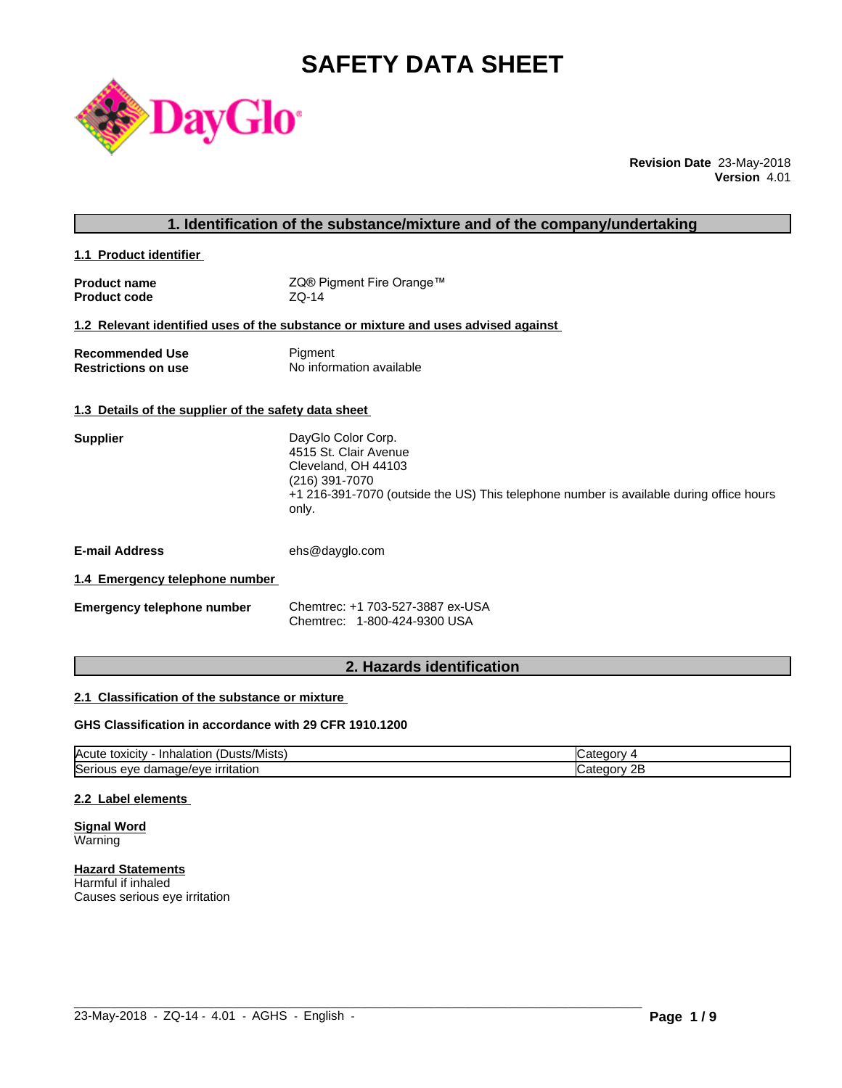# **SAFETY DATA SHEET**



**Revision Date** 23-May-2018 **Version** 4.01

| 1. Identification of the substance/mixture and of the company/undertaking |                                                                                                                                                                                          |  |  |  |
|---------------------------------------------------------------------------|------------------------------------------------------------------------------------------------------------------------------------------------------------------------------------------|--|--|--|
| 1.1 Product identifier                                                    |                                                                                                                                                                                          |  |  |  |
| <b>Product name</b><br><b>Product code</b>                                | ZQ® Pigment Fire Orange™<br>$ZQ-14$                                                                                                                                                      |  |  |  |
|                                                                           | 1.2 Relevant identified uses of the substance or mixture and uses advised against                                                                                                        |  |  |  |
| <b>Recommended Use</b><br><b>Restrictions on use</b>                      | Pigment<br>No information available                                                                                                                                                      |  |  |  |
| 1.3 Details of the supplier of the safety data sheet                      |                                                                                                                                                                                          |  |  |  |
| <b>Supplier</b>                                                           | DayGlo Color Corp.<br>4515 St. Clair Avenue<br>Cleveland, OH 44103<br>(216) 391-7070<br>+1 216-391-7070 (outside the US) This telephone number is available during office hours<br>only. |  |  |  |
| <b>E-mail Address</b>                                                     | ehs@dayglo.com                                                                                                                                                                           |  |  |  |
| 1.4 Emergency telephone number                                            |                                                                                                                                                                                          |  |  |  |
| <b>Emergency telephone number</b>                                         | Chemtrec: +1 703-527-3887 ex-USA<br>Chemtrec: 1-800-424-9300 USA                                                                                                                         |  |  |  |
|                                                                           |                                                                                                                                                                                          |  |  |  |

## **2. Hazards identification**

## **2.1 Classification of the substance or mixture**

## **GHS Classification in accordance with 29 CFR 1910.1200**

| $\mathbf{r}$<br>/Mists<br>ιΟΧΙCItV<br><b>IAcute</b><br>⊣nh′<br>Dust:<br>naiatior | ы.<br>$\mathbf{v}$ |
|----------------------------------------------------------------------------------|--------------------|
| <b>Serious</b>                                                                   | חר.                |
| <b>irritation</b>                                                                | 10 I V             |
| nage/eve                                                                         | <u>_</u>           |
| eve                                                                              |                    |
| uar                                                                              | .                  |

 $\_$  ,  $\_$  ,  $\_$  ,  $\_$  ,  $\_$  ,  $\_$  ,  $\_$  ,  $\_$  ,  $\_$  ,  $\_$  ,  $\_$  ,  $\_$  ,  $\_$  ,  $\_$  ,  $\_$  ,  $\_$  ,  $\_$  ,  $\_$  ,  $\_$  ,  $\_$  ,  $\_$  ,  $\_$  ,  $\_$  ,  $\_$  ,  $\_$  ,  $\_$  ,  $\_$  ,  $\_$  ,  $\_$  ,  $\_$  ,  $\_$  ,  $\_$  ,  $\_$  ,  $\_$  ,  $\_$  ,  $\_$  ,  $\_$  ,

## **2.2 Label elements**

**Signal Word** Warning

**Hazard Statements** Harmful if inhaled Causes serious eye irritation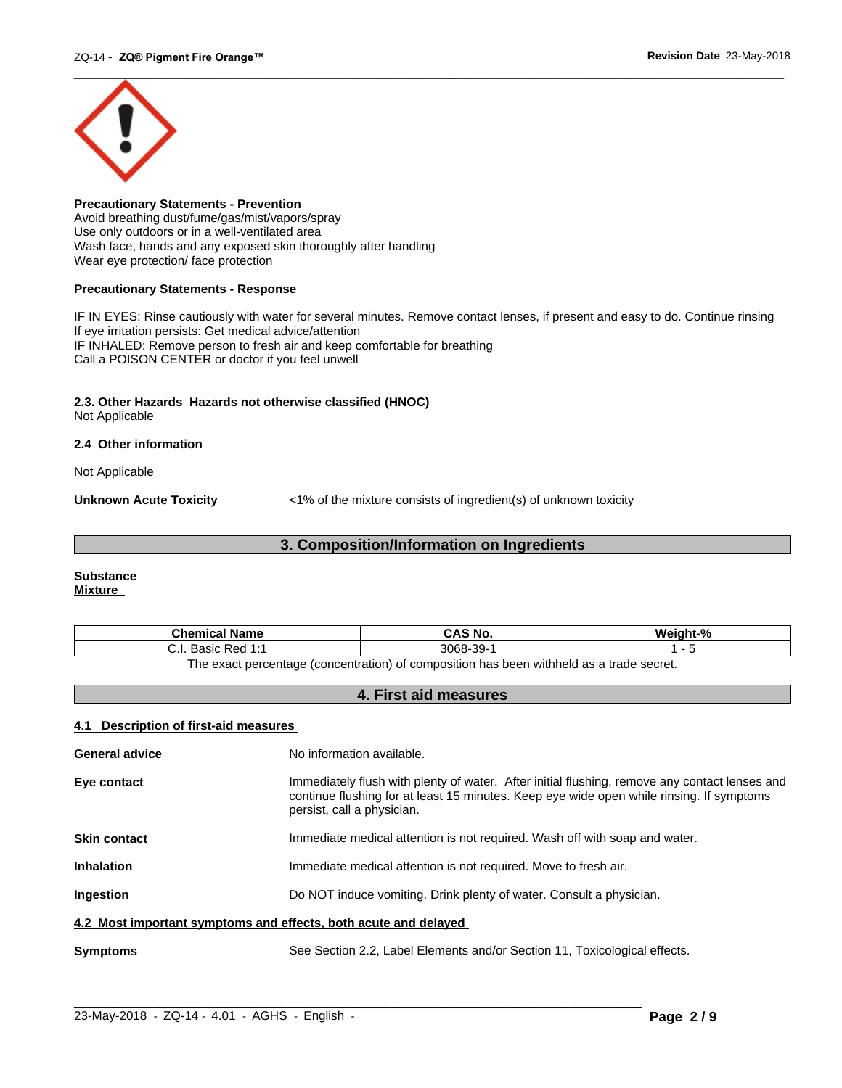

**Precautionary Statements - Prevention** Avoid breathing dust/fume/gas/mist/vapors/spray Use only outdoors or in a well-ventilated area Wash face, hands and any exposed skin thoroughly after handling Wear eye protection/ face protection

## **Precautionary Statements - Response**

IF IN EYES: Rinse cautiously with water for several minutes. Remove contact lenses, if present and easy to do. Continue rinsing If eye irritation persists: Get medical advice/attention IF INHALED: Remove person to fresh air and keep comfortable for breathing Call a POISON CENTER or doctor if you feel unwell

## **2.3. Other Hazards Hazards not otherwise classified (HNOC)**

Not Applicable

## **2.4 Other information**

Not Applicable

**Unknown Acute Toxicity**  $\langle 1\%$  of the mixture consists of ingredient(s) of unknown toxicity

## **3. Composition/Information on Ingredients**

## **Substance Mixture**

| Chemical<br>∣ Name                                                                      | `S No.<br>CA.              | $\mathbf{a}$ |  |
|-----------------------------------------------------------------------------------------|----------------------------|--------------|--|
| <b>Dod 1.4</b><br>20010<br>n sa<br>ن.<br>Dasit<br>.                                     | 3068<br>$\sim$<br>99-<br>ີ |              |  |
| The exact perceptage (conceptration) of compecition has been withhold as a trade secret |                            |              |  |

The exact percentage (concentration) of composition has been withheld as a trade secret.

## **4. First aid measures**

## **4.1 Description of first-aid measures**

| <b>General advice</b>                                           | No information available.                                                                                                                                                                                               |  |
|-----------------------------------------------------------------|-------------------------------------------------------------------------------------------------------------------------------------------------------------------------------------------------------------------------|--|
| Eye contact                                                     | Immediately flush with plenty of water. After initial flushing, remove any contact lenses and<br>continue flushing for at least 15 minutes. Keep eye wide open while rinsing. If symptoms<br>persist, call a physician. |  |
| <b>Skin contact</b>                                             | Immediate medical attention is not required. Wash off with soap and water.                                                                                                                                              |  |
| <b>Inhalation</b>                                               | Immediate medical attention is not required. Move to fresh air.                                                                                                                                                         |  |
| <b>Ingestion</b>                                                | Do NOT induce vomiting. Drink plenty of water. Consult a physician.                                                                                                                                                     |  |
| 4.2 Most important symptoms and effects, both acute and delayed |                                                                                                                                                                                                                         |  |
| <b>Symptoms</b>                                                 | See Section 2.2, Label Elements and/or Section 11, Toxicological effects.                                                                                                                                               |  |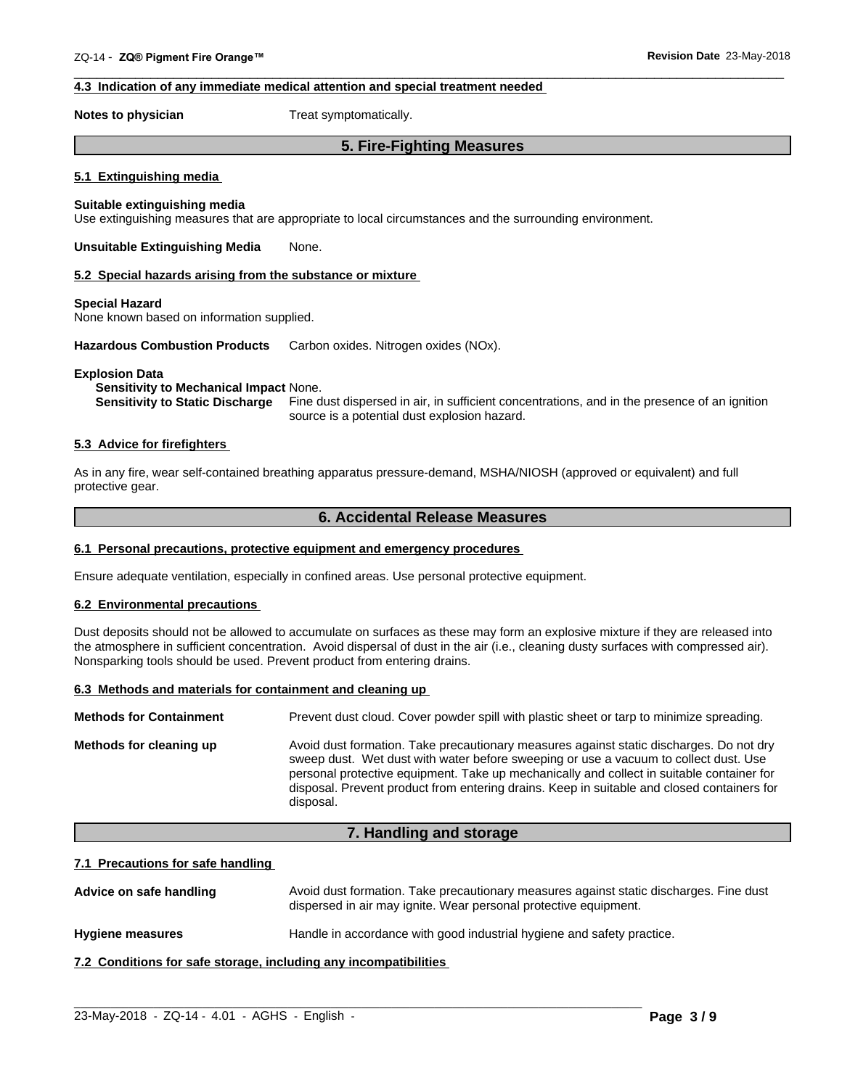## **4.3 Indication of any immediate medical attention and special treatment needed**

**Notes to physician** Treat symptomatically.

## **5. Fire-Fighting Measures**

 $\overline{\phantom{a}}$  ,  $\overline{\phantom{a}}$  ,  $\overline{\phantom{a}}$  ,  $\overline{\phantom{a}}$  ,  $\overline{\phantom{a}}$  ,  $\overline{\phantom{a}}$  ,  $\overline{\phantom{a}}$  ,  $\overline{\phantom{a}}$  ,  $\overline{\phantom{a}}$  ,  $\overline{\phantom{a}}$  ,  $\overline{\phantom{a}}$  ,  $\overline{\phantom{a}}$  ,  $\overline{\phantom{a}}$  ,  $\overline{\phantom{a}}$  ,  $\overline{\phantom{a}}$  ,  $\overline{\phantom{a}}$ 

## **5.1 Extinguishing media**

## **Suitable extinguishing media**

Use extinguishing measures that are appropriate to local circumstances and the surrounding environment.

**Unsuitable Extinguishing Media** None.

## **5.2 Special hazards arising from the substance or mixture**

## **Special Hazard**

None known based on information supplied.

**Hazardous Combustion Products** Carbon oxides. Nitrogen oxides (NOx).

## **Explosion Data**

## **Sensitivity to Mechanical Impact** None.

**Sensitivity to Static Discharge** Fine dust dispersed in air, in sufficient concentrations, and in the presence of an ignition source is a potential dust explosion hazard.

## **5.3 Advice for firefighters**

As in any fire, wear self-contained breathing apparatus pressure-demand, MSHA/NIOSH (approved or equivalent) and full protective gear.

## **6. Accidental Release Measures**

## **6.1 Personal precautions, protective equipment and emergency procedures**

Ensure adequate ventilation, especially in confined areas. Use personal protective equipment.

## **6.2 Environmental precautions**

Dust deposits should not be allowed to accumulate on surfaces as these may form an explosive mixture if they are released into the atmosphere in sufficient concentration. Avoid dispersal of dust in the air (i.e., cleaning dusty surfaces with compressed air). Nonsparking tools should be used. Prevent product from entering drains.

## **6.3 Methods and materials for containment and cleaning up**

| <b>Methods for Containment</b> | Prevent dust cloud. Cover powder spill with plastic sheet or tarp to minimize spreading.                                                                                                                                                                                                                                                                                                |
|--------------------------------|-----------------------------------------------------------------------------------------------------------------------------------------------------------------------------------------------------------------------------------------------------------------------------------------------------------------------------------------------------------------------------------------|
| Methods for cleaning up        | Avoid dust formation. Take precautionary measures against static discharges. Do not dry<br>sweep dust. Wet dust with water before sweeping or use a vacuum to collect dust. Use<br>personal protective equipment. Take up mechanically and collect in suitable container for<br>disposal. Prevent product from entering drains. Keep in suitable and closed containers for<br>disposal. |

## **7. Handling and storage**

## **7.1 Precautions for safe handling**

Advice on safe handling **Avoid dust formation. Take precautionary measures against static discharges. Fine dust** dispersed in air may ignite. Wear personal protective equipment.

 $\_$  ,  $\_$  ,  $\_$  ,  $\_$  ,  $\_$  ,  $\_$  ,  $\_$  ,  $\_$  ,  $\_$  ,  $\_$  ,  $\_$  ,  $\_$  ,  $\_$  ,  $\_$  ,  $\_$  ,  $\_$  ,  $\_$  ,  $\_$  ,  $\_$  ,  $\_$  ,  $\_$  ,  $\_$  ,  $\_$  ,  $\_$  ,  $\_$  ,  $\_$  ,  $\_$  ,  $\_$  ,  $\_$  ,  $\_$  ,  $\_$  ,  $\_$  ,  $\_$  ,  $\_$  ,  $\_$  ,  $\_$  ,  $\_$  ,

**Hygiene measures** Handle in accordance with good industrial hygiene and safety practice.

## **7.2 Conditions for safe storage, including any incompatibilities**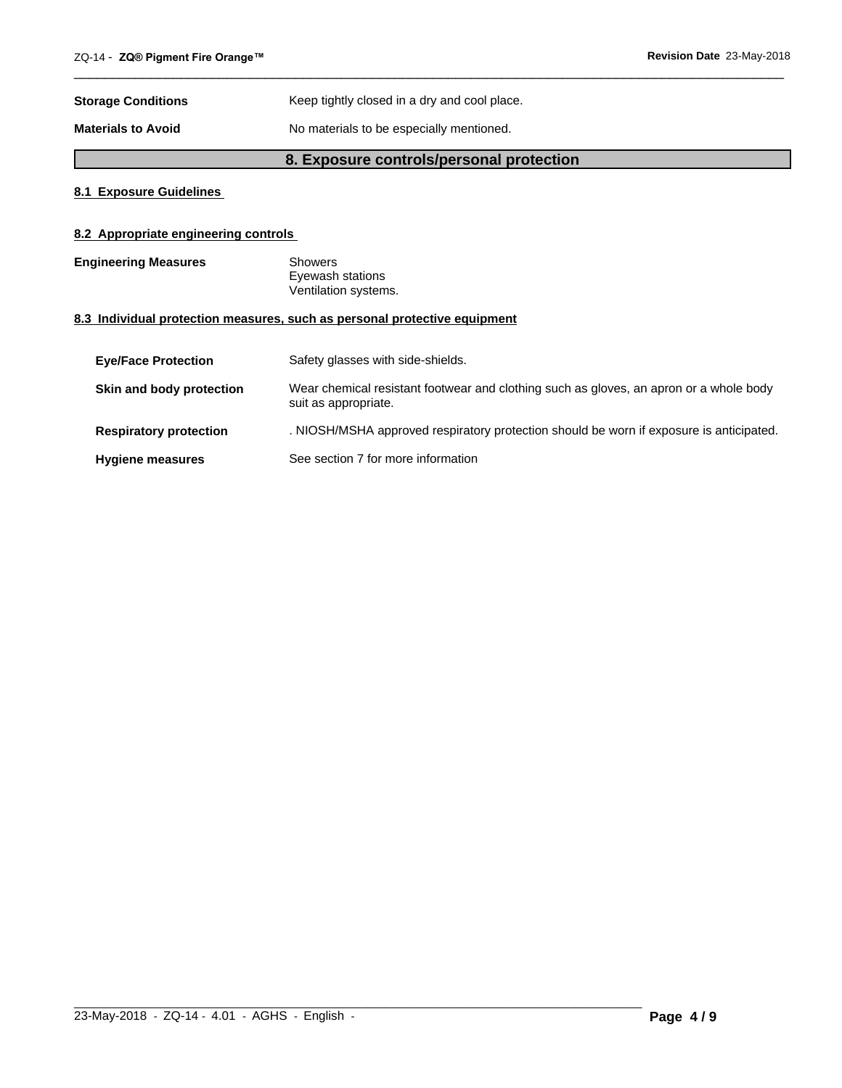| <b>Storage Conditions</b> | Keep tightly closed in a dry and cool place. |
|---------------------------|----------------------------------------------|
| <b>Materials to Avoid</b> | No materials to be especially mentioned.     |

## **8. Exposure controls/personal protection**

 $\overline{\phantom{a}}$  ,  $\overline{\phantom{a}}$  ,  $\overline{\phantom{a}}$  ,  $\overline{\phantom{a}}$  ,  $\overline{\phantom{a}}$  ,  $\overline{\phantom{a}}$  ,  $\overline{\phantom{a}}$  ,  $\overline{\phantom{a}}$  ,  $\overline{\phantom{a}}$  ,  $\overline{\phantom{a}}$  ,  $\overline{\phantom{a}}$  ,  $\overline{\phantom{a}}$  ,  $\overline{\phantom{a}}$  ,  $\overline{\phantom{a}}$  ,  $\overline{\phantom{a}}$  ,  $\overline{\phantom{a}}$ 

## **8.1 Exposure Guidelines**

## **8.2 Appropriate engineering controls**

| <b>Engineering Measures</b> | Showers              |  |
|-----------------------------|----------------------|--|
|                             | Eyewash stations     |  |
|                             | Ventilation systems. |  |

## **8.3 Individual protection measures, such as personal protective equipment**

| <b>Eve/Face Protection</b>    | Safety glasses with side-shields.                                                                              |
|-------------------------------|----------------------------------------------------------------------------------------------------------------|
| Skin and body protection      | Wear chemical resistant footwear and clothing such as gloves, an apron or a whole body<br>suit as appropriate. |
| <b>Respiratory protection</b> | . NIOSH/MSHA approved respiratory protection should be worn if exposure is anticipated.                        |
| <b>Hygiene measures</b>       | See section 7 for more information                                                                             |

 $\_$  ,  $\_$  ,  $\_$  ,  $\_$  ,  $\_$  ,  $\_$  ,  $\_$  ,  $\_$  ,  $\_$  ,  $\_$  ,  $\_$  ,  $\_$  ,  $\_$  ,  $\_$  ,  $\_$  ,  $\_$  ,  $\_$  ,  $\_$  ,  $\_$  ,  $\_$  ,  $\_$  ,  $\_$  ,  $\_$  ,  $\_$  ,  $\_$  ,  $\_$  ,  $\_$  ,  $\_$  ,  $\_$  ,  $\_$  ,  $\_$  ,  $\_$  ,  $\_$  ,  $\_$  ,  $\_$  ,  $\_$  ,  $\_$  ,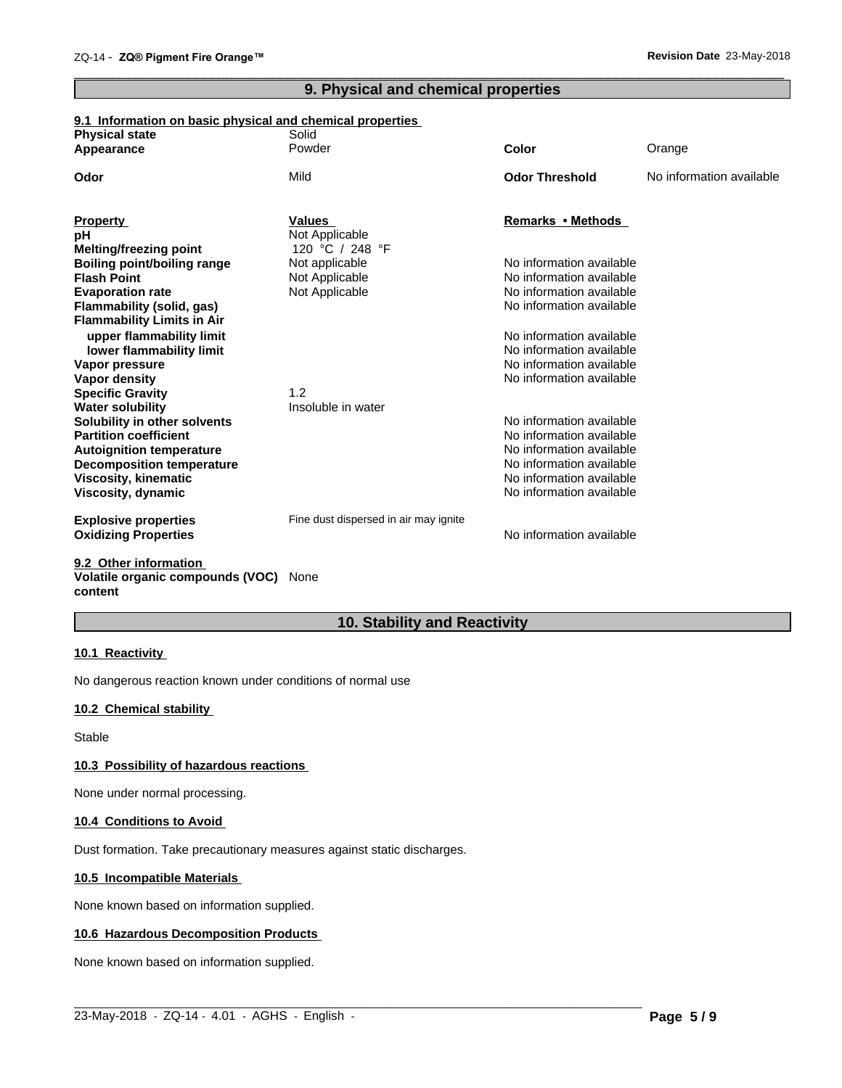## **9. Physical and chemical properties**

 $\overline{\phantom{a}}$  ,  $\overline{\phantom{a}}$  ,  $\overline{\phantom{a}}$  ,  $\overline{\phantom{a}}$  ,  $\overline{\phantom{a}}$  ,  $\overline{\phantom{a}}$  ,  $\overline{\phantom{a}}$  ,  $\overline{\phantom{a}}$  ,  $\overline{\phantom{a}}$  ,  $\overline{\phantom{a}}$  ,  $\overline{\phantom{a}}$  ,  $\overline{\phantom{a}}$  ,  $\overline{\phantom{a}}$  ,  $\overline{\phantom{a}}$  ,  $\overline{\phantom{a}}$  ,  $\overline{\phantom{a}}$ 

## **9.1 Information on basic physical and chemical properties**

| <b>Physical state</b>                          | Solid                                 |                                                      |                          |
|------------------------------------------------|---------------------------------------|------------------------------------------------------|--------------------------|
| Appearance                                     | Powder                                | Color                                                | Orange                   |
| Odor                                           | Mild                                  | <b>Odor Threshold</b>                                | No information available |
| <b>Property</b>                                | <b>Values</b>                         | Remarks • Methods                                    |                          |
| pН                                             | Not Applicable                        |                                                      |                          |
| Melting/freezing point                         | 120 °C / 248 °F                       |                                                      |                          |
| <b>Boiling point/boiling range</b>             | Not applicable                        | No information available                             |                          |
| <b>Flash Point</b>                             | Not Applicable                        | No information available                             |                          |
| <b>Evaporation rate</b>                        | Not Applicable                        | No information available                             |                          |
| Flammability (solid, gas)                      |                                       | No information available                             |                          |
| <b>Flammability Limits in Air</b>              |                                       |                                                      |                          |
| upper flammability limit                       |                                       | No information available                             |                          |
| lower flammability limit                       |                                       | No information available                             |                          |
| Vapor pressure                                 |                                       | No information available                             |                          |
| Vapor density                                  |                                       | No information available                             |                          |
| <b>Specific Gravity</b>                        | 1.2                                   |                                                      |                          |
| <b>Water solubility</b>                        | Insoluble in water                    |                                                      |                          |
| Solubility in other solvents                   |                                       | No information available                             |                          |
| <b>Partition coefficient</b>                   |                                       | No information available                             |                          |
| <b>Autoignition temperature</b>                |                                       | No information available                             |                          |
| <b>Decomposition temperature</b>               |                                       | No information available<br>No information available |                          |
| <b>Viscosity, kinematic</b>                    |                                       | No information available                             |                          |
| Viscosity, dynamic                             |                                       |                                                      |                          |
| <b>Explosive properties</b>                    | Fine dust dispersed in air may ignite |                                                      |                          |
| <b>Oxidizing Properties</b>                    |                                       | No information available                             |                          |
| $A \wedge A$ and $A \wedge B$ and $A \wedge B$ |                                       |                                                      |                          |

#### **9.2 Other information Volatile organic compounds (VOC)** None **content**

## **10. Stability and Reactivity**

 $\_$  ,  $\_$  ,  $\_$  ,  $\_$  ,  $\_$  ,  $\_$  ,  $\_$  ,  $\_$  ,  $\_$  ,  $\_$  ,  $\_$  ,  $\_$  ,  $\_$  ,  $\_$  ,  $\_$  ,  $\_$  ,  $\_$  ,  $\_$  ,  $\_$  ,  $\_$  ,  $\_$  ,  $\_$  ,  $\_$  ,  $\_$  ,  $\_$  ,  $\_$  ,  $\_$  ,  $\_$  ,  $\_$  ,  $\_$  ,  $\_$  ,  $\_$  ,  $\_$  ,  $\_$  ,  $\_$  ,  $\_$  ,  $\_$  ,

## **10.1 Reactivity**

No dangerous reaction known under conditions of normal use

## **10.2 Chemical stability**

Stable

## **10.3 Possibility of hazardous reactions**

None under normal processing.

## **10.4 Conditions to Avoid**

Dust formation. Take precautionary measures against static discharges.

## **10.5 Incompatible Materials**

None known based on information supplied.

## **10.6 Hazardous Decomposition Products**

None known based on information supplied.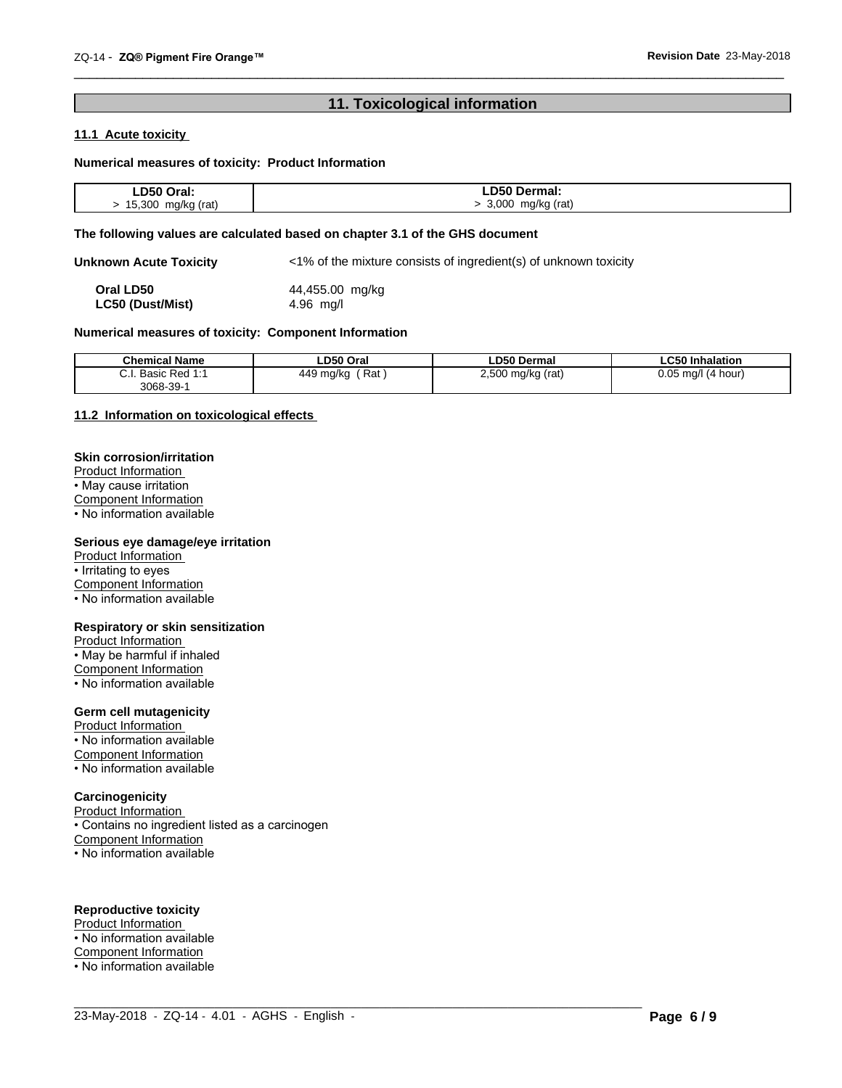## **11. Toxicological information**

 $\overline{\phantom{a}}$  ,  $\overline{\phantom{a}}$  ,  $\overline{\phantom{a}}$  ,  $\overline{\phantom{a}}$  ,  $\overline{\phantom{a}}$  ,  $\overline{\phantom{a}}$  ,  $\overline{\phantom{a}}$  ,  $\overline{\phantom{a}}$  ,  $\overline{\phantom{a}}$  ,  $\overline{\phantom{a}}$  ,  $\overline{\phantom{a}}$  ,  $\overline{\phantom{a}}$  ,  $\overline{\phantom{a}}$  ,  $\overline{\phantom{a}}$  ,  $\overline{\phantom{a}}$  ,  $\overline{\phantom{a}}$ 

## **11.1 Acute toxicity**

## **Numerical measures of toxicity: Product Information**

| ∟D50<br>Oral:                  | Dermal:                   |
|--------------------------------|---------------------------|
| 5.300<br>mg/kg (rat)<br>Ð<br>. | 3,000<br>mg/kg (rat)<br>. |

## **The following values are calculated based on chapter 3.1 of the GHS document**

**Unknown Acute Toxicity** <1% of the mixture consists of ingredient(s) of unknown toxicity

**Oral LD50** 44,455.00 mg/kg<br> **LC50 (Dust/Mist)** 4.96 mg/l **LC50** (Dust/Mist)

## **Numerical measures of toxicity: Component Information**

| <b>Chemical Name</b>                        | ∟D50 Oral             | <b>LD50 Dermal</b>      | <b>LC50 Inhalation</b>   |
|---------------------------------------------|-----------------------|-------------------------|--------------------------|
| Basic<br>^<br>$Dod$ 1.1<br>seu.<br>3068-39- | Rat<br>449<br>∣ ma/kc | 2.500<br>(rat)<br>mq/kq | 0.05<br>ma/l<br>(4 hour) |

 $\_$  ,  $\_$  ,  $\_$  ,  $\_$  ,  $\_$  ,  $\_$  ,  $\_$  ,  $\_$  ,  $\_$  ,  $\_$  ,  $\_$  ,  $\_$  ,  $\_$  ,  $\_$  ,  $\_$  ,  $\_$  ,  $\_$  ,  $\_$  ,  $\_$  ,  $\_$  ,  $\_$  ,  $\_$  ,  $\_$  ,  $\_$  ,  $\_$  ,  $\_$  ,  $\_$  ,  $\_$  ,  $\_$  ,  $\_$  ,  $\_$  ,  $\_$  ,  $\_$  ,  $\_$  ,  $\_$  ,  $\_$  ,  $\_$  ,

## **11.2 Information on toxicologicaleffects**

## **Skin corrosion/irritation**

Product Information • May cause irritation Component Information

• No information available

## **Serious eye damage/eye irritation**

Product Information • Irritating to eyes Component Information • No information available

## **Respiratory or skin sensitization**

Product Information • May be harmful if inhaled Component Information • No information available

## **Germ cell mutagenicity**

Product Information • No information available Component Information • No information available

## **Carcinogenicity**

Product Information • Contains no ingredient listed as a carcinogen Component Information • No information available

## **Reproductive toxicity**

Product Information • No information available Component Information • No information available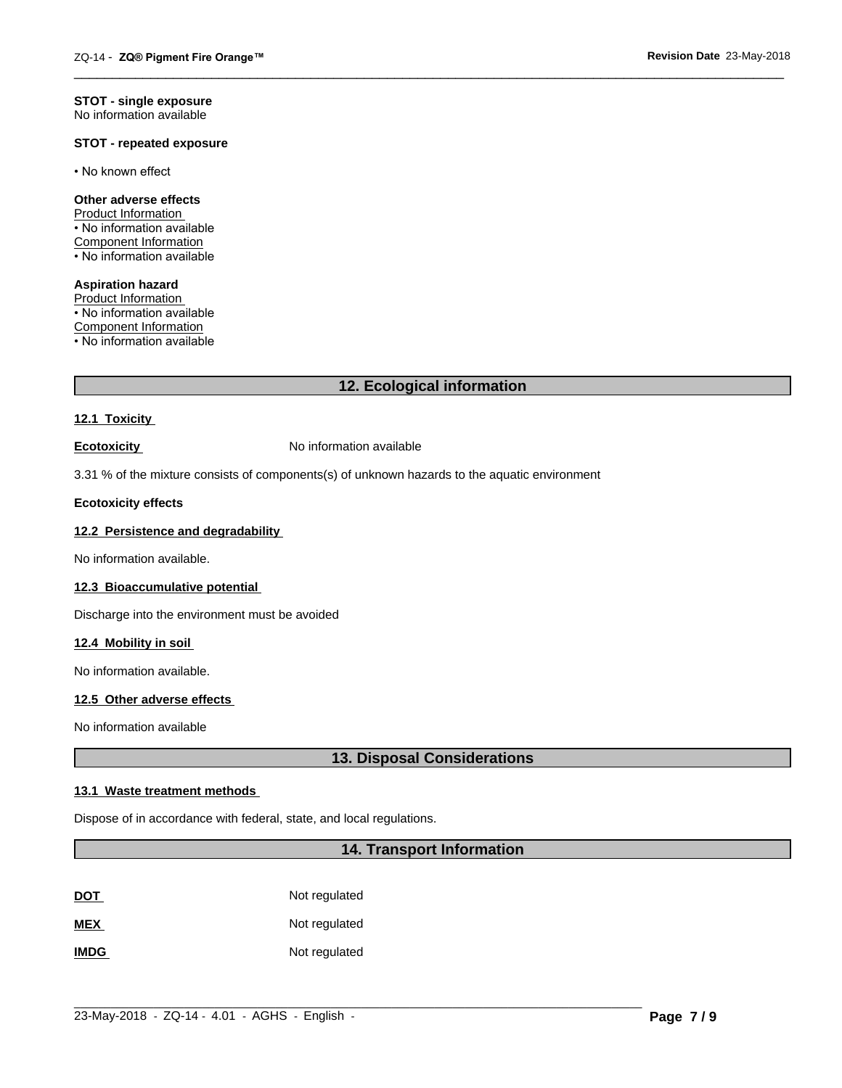#### **STOT - single exposure** No information available

## **STOT - repeated exposure**

• No known effect

## **Other adverse effects**

Product Information • No information available Component Information • No information available

**Aspiration hazard** Product Information • No information available Component Information • No information available

## **12. Ecological information**

 $\overline{\phantom{a}}$  ,  $\overline{\phantom{a}}$  ,  $\overline{\phantom{a}}$  ,  $\overline{\phantom{a}}$  ,  $\overline{\phantom{a}}$  ,  $\overline{\phantom{a}}$  ,  $\overline{\phantom{a}}$  ,  $\overline{\phantom{a}}$  ,  $\overline{\phantom{a}}$  ,  $\overline{\phantom{a}}$  ,  $\overline{\phantom{a}}$  ,  $\overline{\phantom{a}}$  ,  $\overline{\phantom{a}}$  ,  $\overline{\phantom{a}}$  ,  $\overline{\phantom{a}}$  ,  $\overline{\phantom{a}}$ 

## **12.1 Toxicity**

**Ecotoxicity No information available** 

3.31 % of the mixture consists of components(s) of unknown hazards to the aquatic environment

## **Ecotoxicity effects**

## **12.2 Persistence and degradability**

No information available.

## **12.3 Bioaccumulative potential**

Discharge into the environment must be avoided

## **12.4 Mobility in soil**

No information available.

## **12.5 Other adverse effects**

No information available

## **13. Disposal Considerations**

## **13.1 Waste treatment methods**

Dispose of in accordance with federal, state, and local regulations.

## **14. Transport Information**

| <b>DOT</b>  | Not regulated |
|-------------|---------------|
| <b>MEX</b>  | Not regulated |
| <b>IMDG</b> | Not regulated |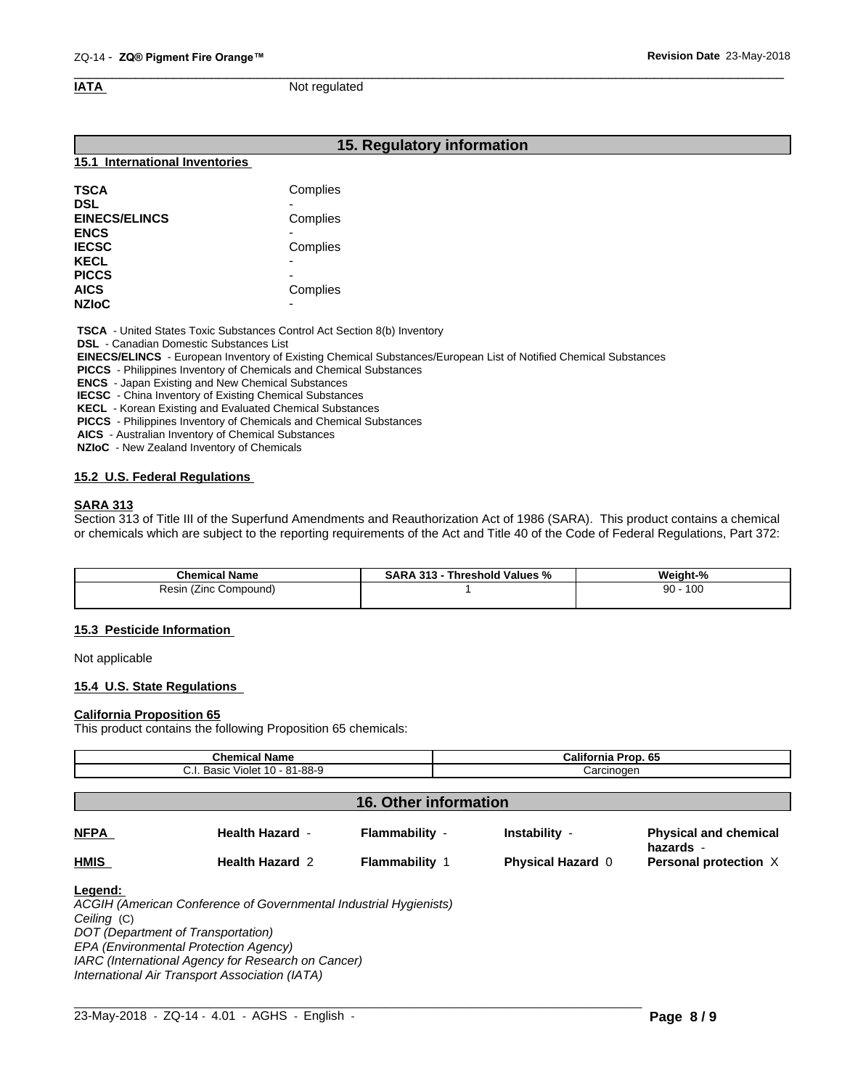### $\overline{\phantom{a}}$  ,  $\overline{\phantom{a}}$  ,  $\overline{\phantom{a}}$  ,  $\overline{\phantom{a}}$  ,  $\overline{\phantom{a}}$  ,  $\overline{\phantom{a}}$  ,  $\overline{\phantom{a}}$  ,  $\overline{\phantom{a}}$  ,  $\overline{\phantom{a}}$  ,  $\overline{\phantom{a}}$  ,  $\overline{\phantom{a}}$  ,  $\overline{\phantom{a}}$  ,  $\overline{\phantom{a}}$  ,  $\overline{\phantom{a}}$  ,  $\overline{\phantom{a}}$  ,  $\overline{\phantom{a}}$ **IATA** Not regulated

## **15. Regulatory information**

#### **15.1 International Inventories**

| <b>TSCA</b>          | Complies                 |  |
|----------------------|--------------------------|--|
| <b>DSL</b>           |                          |  |
| <b>EINECS/ELINCS</b> | Complies                 |  |
| <b>ENCS</b>          |                          |  |
| <b>IECSC</b>         | Complies                 |  |
| <b>KECL</b>          | $\overline{\phantom{0}}$ |  |
| <b>PICCS</b>         |                          |  |
| <b>AICS</b>          | Complies                 |  |
| <b>NZIoC</b>         | -                        |  |

 **TSCA** - United States Toxic Substances Control Act Section 8(b) Inventory

 **DSL** - Canadian Domestic Substances List

 **EINECS/ELINCS** - European Inventory of Existing Chemical Substances/European List of Notified Chemical Substances

 **PICCS** - Philippines Inventory of Chemicals and Chemical Substances

 **ENCS** - Japan Existing and New Chemical Substances

 **IECSC** - China Inventory of Existing Chemical Substances

 **KECL** - Korean Existing and Evaluated Chemical Substances

 **PICCS** - Philippines Inventory of Chemicals and Chemical Substances

 **AICS** - Australian Inventory of Chemical Substances

 **NZIoC** - New Zealand Inventory of Chemicals

## **15.2 U.S. Federal Regulations**

## **SARA 313**

Section 313 of Title III of the Superfund Amendments and Reauthorization Act of 1986 (SARA). This product contains a chemical or chemicals which are subject to the reporting requirements of the Act and Title 40 of the Code of Federal Regulations, Part 372:

| <b>Chemical Name</b>        | 313<br>Threshold Values<br>SARA<br>. .<br>% | Weight-%  |
|-----------------------------|---------------------------------------------|-----------|
| Resin<br>Compound)<br>(∠inc |                                             | 100<br>90 |
|                             |                                             |           |

## **15.3 Pesticide Information**

Not applicable

## **15.4 U.S. State Regulations**

## **California Proposition 65**

This product contains the following Proposition 65 chemicals:

| <b>Chemical Name</b><br>C.I. Basic Violet 10 - 81-88-9 |                        |                       | California Prop. 65<br>Carcinogen |                                           |  |
|--------------------------------------------------------|------------------------|-----------------------|-----------------------------------|-------------------------------------------|--|
|                                                        |                        |                       |                                   |                                           |  |
| 16. Other information                                  |                        |                       |                                   |                                           |  |
| <b>NFPA</b>                                            | <b>Health Hazard -</b> | Flammability -        | Instability -                     | <b>Physical and chemical</b><br>hazards - |  |
| <b>HMIS</b>                                            | <b>Health Hazard 2</b> | <b>Flammability 1</b> | <b>Physical Hazard 0</b>          | Personal protection X                     |  |

*Ceiling* (C) *DOT (Department of Transportation)*

*EPA (Environmental Protection Agency)*

*IARC (International Agency for Research on Cancer)*

*International Air Transport Association (IATA)*